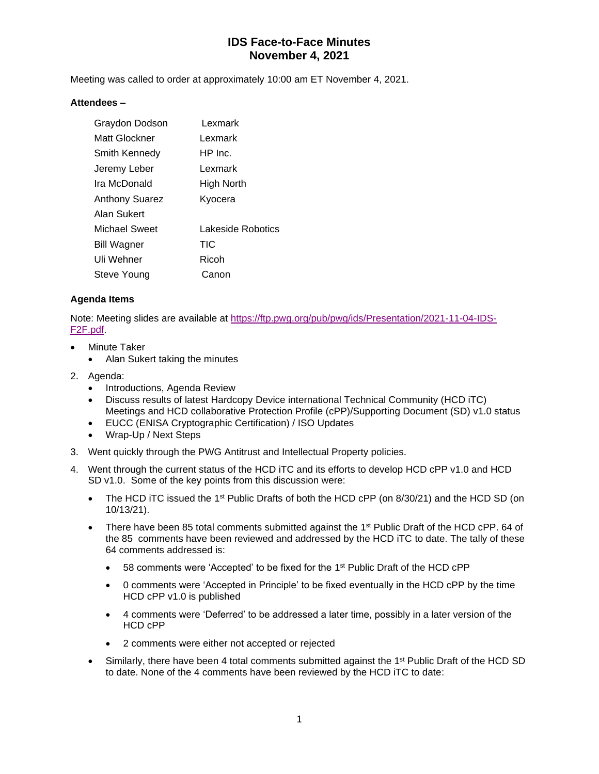Meeting was called to order at approximately 10:00 am ET November 4, 2021.

#### **Attendees –**

| Graydon Dodson        | Lexmark           |
|-----------------------|-------------------|
| Matt Glockner         | Lexmark           |
| Smith Kennedy         | $HP$ Inc.         |
| Jeremy Leber          | Lexmark           |
| Ira McDonald          | High North        |
| <b>Anthony Suarez</b> | Kyocera           |
| Alan Sukert           |                   |
| Michael Sweet         | Lakeside Robotics |
| <b>Bill Wagner</b>    | <b>TIC</b>        |
| Uli Wehner            | Ricoh             |
| Steve Young           | Canon             |

### **Agenda Items**

Note: Meeting slides are available at [https://ftp.pwg.org/pub/pwg/ids/Presentation/2021-11-04-IDS-](https://ftp.pwg.org/pub/pwg/ids/Presentation/2021-11-04-IDS-F2F.pdf)[F2F.pdf.](https://ftp.pwg.org/pub/pwg/ids/Presentation/2021-11-04-IDS-F2F.pdf)

- **Minute Taker** 
	- Alan Sukert taking the minutes
- 2. Agenda:
	- Introductions, Agenda Review
	- Discuss results of latest Hardcopy Device international Technical Community (HCD iTC) Meetings and HCD collaborative Protection Profile (cPP)/Supporting Document (SD) v1.0 status
	- EUCC (ENISA Cryptographic Certification) / ISO Updates
	- Wrap-Up / Next Steps
- 3. Went quickly through the PWG Antitrust and Intellectual Property policies.
- 4. Went through the current status of the HCD iTC and its efforts to develop HCD cPP v1.0 and HCD SD v1.0. Some of the key points from this discussion were:
	- The HCD iTC issued the 1<sup>st</sup> Public Drafts of both the HCD cPP (on 8/30/21) and the HCD SD (on 10/13/21).
	- There have been 85 total comments submitted against the  $1<sup>st</sup>$  Public Draft of the HCD cPP. 64 of the 85 comments have been reviewed and addressed by the HCD iTC to date. The tally of these 64 comments addressed is:
		- $\bullet$  58 comments were 'Accepted' to be fixed for the 1<sup>st</sup> Public Draft of the HCD cPP
		- 0 comments were 'Accepted in Principle' to be fixed eventually in the HCD cPP by the time HCD cPP v1.0 is published
		- 4 comments were 'Deferred' to be addressed a later time, possibly in a later version of the HCD cPP
		- 2 comments were either not accepted or rejected
	- Similarly, there have been 4 total comments submitted against the 1<sup>st</sup> Public Draft of the HCD SD to date. None of the 4 comments have been reviewed by the HCD iTC to date: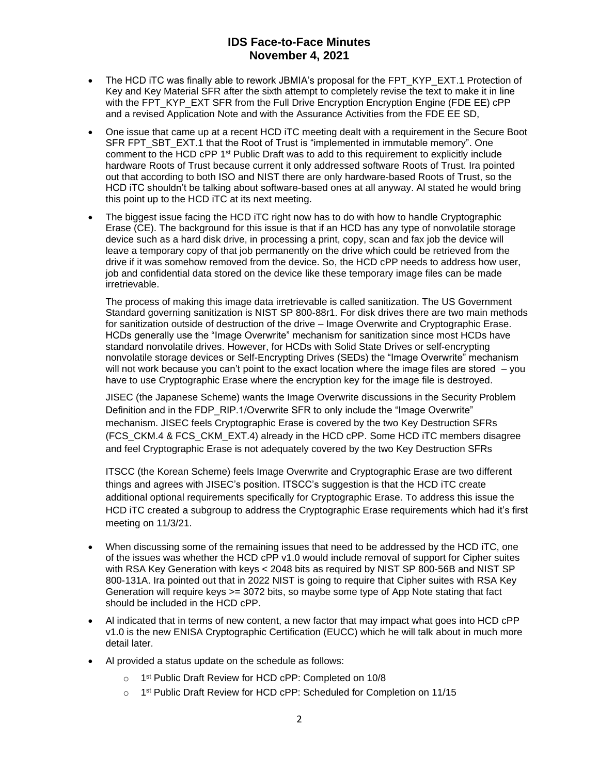- The HCD iTC was finally able to rework JBMIA's proposal for the FPT\_KYP\_EXT.1 Protection of Key and Key Material SFR after the sixth attempt to completely revise the text to make it in line with the FPT\_KYP\_EXT SFR from the Full Drive Encryption Encryption Engine (FDE EE) cPP and a revised Application Note and with the Assurance Activities from the FDE EE SD,
- One issue that came up at a recent HCD iTC meeting dealt with a requirement in the Secure Boot SFR FPT\_SBT\_EXT.1 that the Root of Trust is "implemented in immutable memory". One comment to the HCD cPP  $1<sup>st</sup>$  Public Draft was to add to this requirement to explicitly include hardware Roots of Trust because current it only addressed software Roots of Trust. Ira pointed out that according to both ISO and NIST there are only hardware-based Roots of Trust, so the HCD iTC shouldn't be talking about software-based ones at all anyway. Al stated he would bring this point up to the HCD iTC at its next meeting.
- The biggest issue facing the HCD iTC right now has to do with how to handle Cryptographic Erase (CE). The background for this issue is that if an HCD has any type of nonvolatile storage device such as a hard disk drive, in processing a print, copy, scan and fax job the device will leave a temporary copy of that job permanently on the drive which could be retrieved from the drive if it was somehow removed from the device. So, the HCD cPP needs to address how user, job and confidential data stored on the device like these temporary image files can be made irretrievable.

The process of making this image data irretrievable is called sanitization. The US Government Standard governing sanitization is NIST SP 800-88r1. For disk drives there are two main methods for sanitization outside of destruction of the drive – Image Overwrite and Cryptographic Erase. HCDs generally use the "Image Overwrite" mechanism for sanitization since most HCDs have standard nonvolatile drives. However, for HCDs with Solid State Drives or self-encrypting nonvolatile storage devices or Self-Encrypting Drives (SEDs) the "Image Overwrite" mechanism will not work because you can't point to the exact location where the image files are stored – you have to use Cryptographic Erase where the encryption key for the image file is destroyed.

JISEC (the Japanese Scheme) wants the Image Overwrite discussions in the Security Problem Definition and in the FDP\_RIP.1/Overwrite SFR to only include the "Image Overwrite" mechanism. JISEC feels Cryptographic Erase is covered by the two Key Destruction SFRs (FCS\_CKM.4 & FCS\_CKM\_EXT.4) already in the HCD cPP. Some HCD iTC members disagree and feel Cryptographic Erase is not adequately covered by the two Key Destruction SFRs

ITSCC (the Korean Scheme) feels Image Overwrite and Cryptographic Erase are two different things and agrees with JISEC's position. ITSCC's suggestion is that the HCD iTC create additional optional requirements specifically for Cryptographic Erase. To address this issue the HCD iTC created a subgroup to address the Cryptographic Erase requirements which had it's first meeting on 11/3/21.

- When discussing some of the remaining issues that need to be addressed by the HCD iTC, one of the issues was whether the HCD cPP v1.0 would include removal of support for Cipher suites with RSA Key Generation with keys < 2048 bits as required by NIST SP 800-56B and NIST SP 800-131A. Ira pointed out that in 2022 NIST is going to require that Cipher suites with RSA Key Generation will require keys >= 3072 bits, so maybe some type of App Note stating that fact should be included in the HCD cPP.
- Al indicated that in terms of new content, a new factor that may impact what goes into HCD cPP v1.0 is the new ENISA Cryptographic Certification (EUCC) which he will talk about in much more detail later.
- Al provided a status update on the schedule as follows:
	- o 1<sup>st</sup> Public Draft Review for HCD cPP: Completed on 10/8
	- o 1<sup>st</sup> Public Draft Review for HCD cPP: Scheduled for Completion on 11/15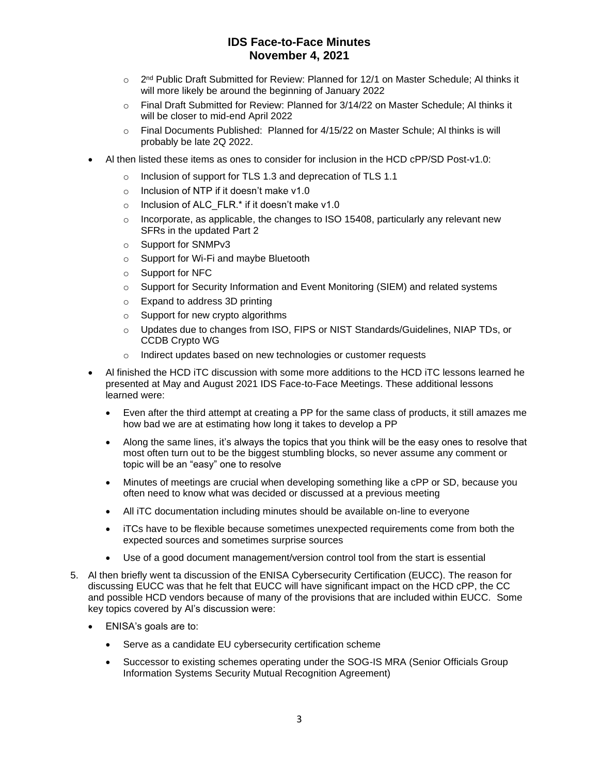- 2<sup>nd</sup> Public Draft Submitted for Review: Planned for 12/1 on Master Schedule; Al thinks it will more likely be around the beginning of January 2022
- o Final Draft Submitted for Review: Planned for 3/14/22 on Master Schedule; Al thinks it will be closer to mid-end April 2022
- o Final Documents Published: Planned for 4/15/22 on Master Schule; Al thinks is will probably be late 2Q 2022.
- Al then listed these items as ones to consider for inclusion in the HCD cPP/SD Post-v1.0:
	- o Inclusion of support for TLS 1.3 and deprecation of TLS 1.1
	- o Inclusion of NTP if it doesn't make v1.0
	- o Inclusion of ALC\_FLR.\* if it doesn't make v1.0
	- $\circ$  Incorporate, as applicable, the changes to ISO 15408, particularly any relevant new SFRs in the updated Part 2
	- o Support for SNMPv3
	- o Support for Wi-Fi and maybe Bluetooth
	- o Support for NFC
	- $\circ$  Support for Security Information and Event Monitoring (SIEM) and related systems
	- o Expand to address 3D printing
	- o Support for new crypto algorithms
	- o Updates due to changes from ISO, FIPS or NIST Standards/Guidelines, NIAP TDs, or CCDB Crypto WG
	- o Indirect updates based on new technologies or customer requests
- Al finished the HCD iTC discussion with some more additions to the HCD iTC lessons learned he presented at May and August 2021 IDS Face-to-Face Meetings. These additional lessons learned were:
	- Even after the third attempt at creating a PP for the same class of products, it still amazes me how bad we are at estimating how long it takes to develop a PP
	- Along the same lines, it's always the topics that you think will be the easy ones to resolve that most often turn out to be the biggest stumbling blocks, so never assume any comment or topic will be an "easy" one to resolve
	- Minutes of meetings are crucial when developing something like a cPP or SD, because you often need to know what was decided or discussed at a previous meeting
	- All iTC documentation including minutes should be available on-line to everyone
	- iTCs have to be flexible because sometimes unexpected requirements come from both the expected sources and sometimes surprise sources
	- Use of a good document management/version control tool from the start is essential
- 5. Al then briefly went ta discussion of the ENISA Cybersecurity Certification (EUCC). The reason for discussing EUCC was that he felt that EUCC will have significant impact on the HCD cPP, the CC and possible HCD vendors because of many of the provisions that are included within EUCC. Some key topics covered by Al's discussion were:
	- ENISA's goals are to:
		- Serve as a candidate EU cybersecurity certification scheme
		- Successor to existing schemes operating under the SOG-IS MRA (Senior Officials Group Information Systems Security Mutual Recognition Agreement)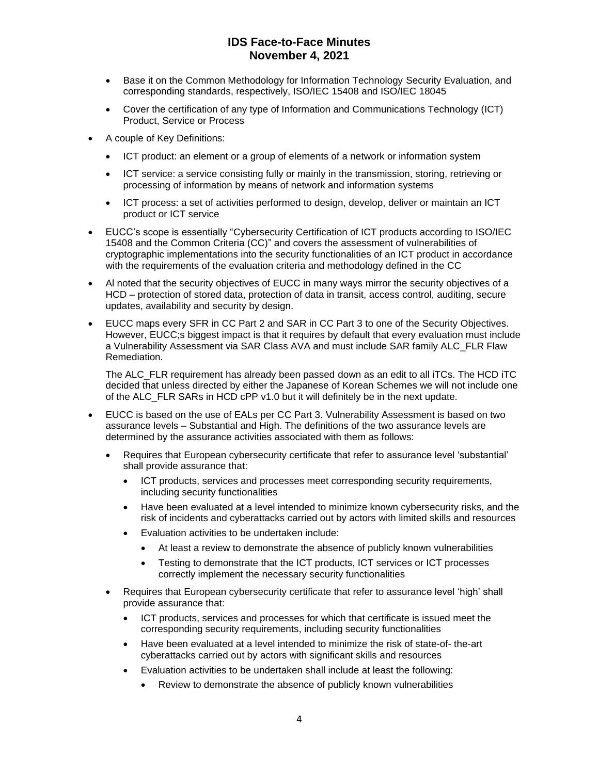- Base it on the Common Methodology for Information Technology Security Evaluation, and corresponding standards, respectively, ISO/IEC 15408 and ISO/IEC 18045
- Cover the certification of any type of Information and Communications Technology (ICT) Product, Service or Process
- A couple of Key Definitions:
	- ICT product: an element or a group of elements of a network or information system
	- ICT service: a service consisting fully or mainly in the transmission, storing, retrieving or processing of information by means of network and information systems
	- ICT process: a set of activities performed to design, develop, deliver or maintain an ICT product or ICT service
- EUCC's scope is essentially "Cybersecurity Certification of ICT products according to ISO/IEC 15408 and the Common Criteria (CC)" and covers the assessment of vulnerabilities of cryptographic implementations into the security functionalities of an ICT product in accordance with the requirements of the evaluation criteria and methodology defined in the CC
- Al noted that the security objectives of EUCC in many ways mirror the security objectives of a HCD – protection of stored data, protection of data in transit, access control, auditing, secure updates, availability and security by design.
- EUCC maps every SFR in CC Part 2 and SAR in CC Part 3 to one of the Security Objectives. However, EUCC;s biggest impact is that it requires by default that every evaluation must include a Vulnerability Assessment via SAR Class AVA and must include SAR family ALC\_FLR Flaw Remediation.

The ALC FLR requirement has already been passed down as an edit to all iTCs. The HCD iTC decided that unless directed by either the Japanese of Korean Schemes we will not include one of the ALC FLR SARs in HCD cPP v1.0 but it will definitely be in the next update.

- EUCC is based on the use of EALs per CC Part 3. Vulnerability Assessment is based on two assurance levels – Substantial and High. The definitions of the two assurance levels are determined by the assurance activities associated with them as follows:
	- Requires that European cybersecurity certificate that refer to assurance level 'substantial' shall provide assurance that:
		- ICT products, services and processes meet corresponding security requirements, including security functionalities
		- Have been evaluated at a level intended to minimize known cybersecurity risks, and the risk of incidents and cyberattacks carried out by actors with limited skills and resources
		- Evaluation activities to be undertaken include:
			- At least a review to demonstrate the absence of publicly known vulnerabilities
			- Testing to demonstrate that the ICT products, ICT services or ICT processes correctly implement the necessary security functionalities
	- Requires that European cybersecurity certificate that refer to assurance level 'high' shall provide assurance that:
		- ICT products, services and processes for which that certificate is issued meet the corresponding security requirements, including security functionalities
		- Have been evaluated at a level intended to minimize the risk of state-of- the-art cyberattacks carried out by actors with significant skills and resources
		- Evaluation activities to be undertaken shall include at least the following:
			- Review to demonstrate the absence of publicly known vulnerabilities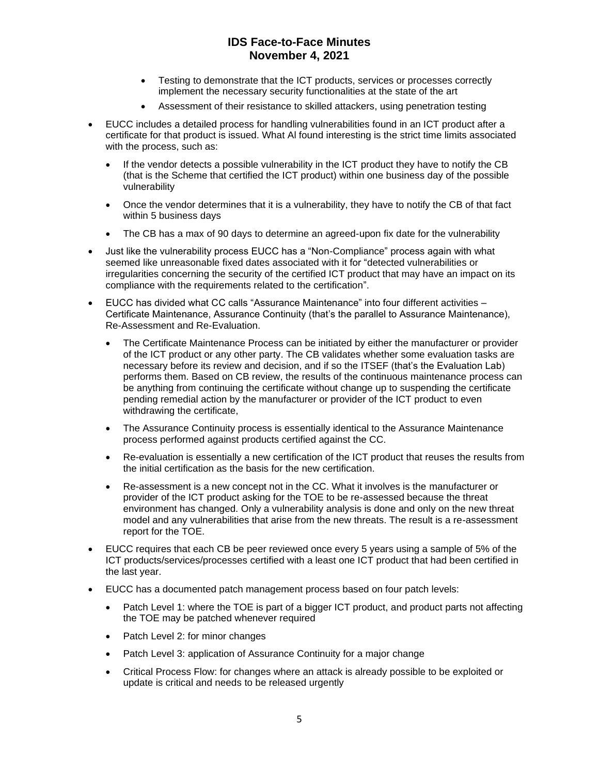- Testing to demonstrate that the ICT products, services or processes correctly implement the necessary security functionalities at the state of the art
- Assessment of their resistance to skilled attackers, using penetration testing
- EUCC includes a detailed process for handling vulnerabilities found in an ICT product after a certificate for that product is issued. What Al found interesting is the strict time limits associated with the process, such as:
	- If the vendor detects a possible vulnerability in the ICT product they have to notify the CB (that is the Scheme that certified the ICT product) within one business day of the possible vulnerability
	- Once the vendor determines that it is a vulnerability, they have to notify the CB of that fact within 5 business days
	- The CB has a max of 90 days to determine an agreed-upon fix date for the vulnerability
- Just like the vulnerability process EUCC has a "Non-Compliance" process again with what seemed like unreasonable fixed dates associated with it for "detected vulnerabilities or irregularities concerning the security of the certified ICT product that may have an impact on its compliance with the requirements related to the certification".
- EUCC has divided what CC calls "Assurance Maintenance" into four different activities Certificate Maintenance, Assurance Continuity (that's the parallel to Assurance Maintenance), Re-Assessment and Re-Evaluation.
	- The Certificate Maintenance Process can be initiated by either the manufacturer or provider of the ICT product or any other party. The CB validates whether some evaluation tasks are necessary before its review and decision, and if so the ITSEF (that's the Evaluation Lab) performs them. Based on CB review, the results of the continuous maintenance process can be anything from continuing the certificate without change up to suspending the certificate pending remedial action by the manufacturer or provider of the ICT product to even withdrawing the certificate,
	- The Assurance Continuity process is essentially identical to the Assurance Maintenance process performed against products certified against the CC.
	- Re-evaluation is essentially a new certification of the ICT product that reuses the results from the initial certification as the basis for the new certification.
	- Re-assessment is a new concept not in the CC. What it involves is the manufacturer or provider of the ICT product asking for the TOE to be re-assessed because the threat environment has changed. Only a vulnerability analysis is done and only on the new threat model and any vulnerabilities that arise from the new threats. The result is a re-assessment report for the TOE.
- EUCC requires that each CB be peer reviewed once every 5 years using a sample of 5% of the ICT products/services/processes certified with a least one ICT product that had been certified in the last year.
- EUCC has a documented patch management process based on four patch levels:
	- Patch Level 1: where the TOE is part of a bigger ICT product, and product parts not affecting the TOE may be patched whenever required
	- Patch Level 2: for minor changes
	- Patch Level 3: application of Assurance Continuity for a major change
	- Critical Process Flow: for changes where an attack is already possible to be exploited or update is critical and needs to be released urgently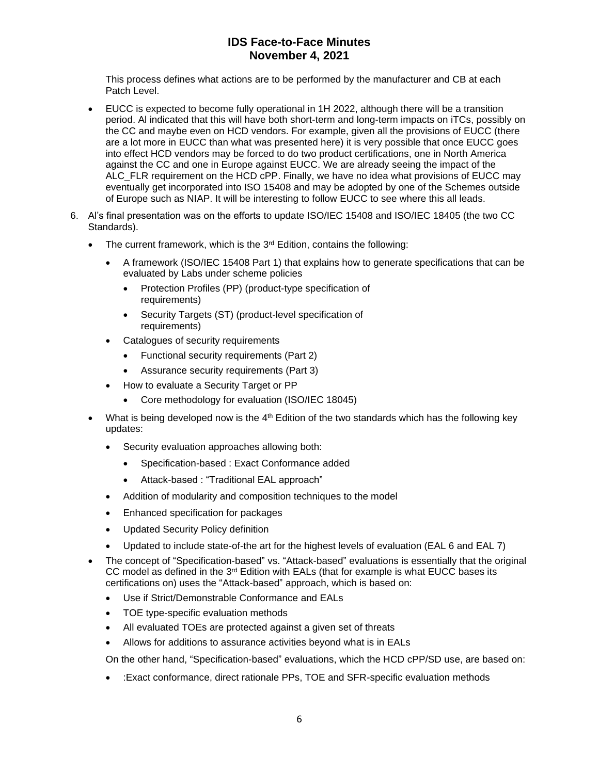This process defines what actions are to be performed by the manufacturer and CB at each Patch Level.

- EUCC is expected to become fully operational in 1H 2022, although there will be a transition period. Al indicated that this will have both short-term and long-term impacts on iTCs, possibly on the CC and maybe even on HCD vendors. For example, given all the provisions of EUCC (there are a lot more in EUCC than what was presented here) it is very possible that once EUCC goes into effect HCD vendors may be forced to do two product certifications, one in North America against the CC and one in Europe against EUCC. We are already seeing the impact of the ALC\_FLR requirement on the HCD cPP. Finally, we have no idea what provisions of EUCC may eventually get incorporated into ISO 15408 and may be adopted by one of the Schemes outside of Europe such as NIAP. It will be interesting to follow EUCC to see where this all leads.
- 6. Al's final presentation was on the efforts to update ISO/IEC 15408 and ISO/IEC 18405 (the two CC Standards).
	- The current framework, which is the 3<sup>rd</sup> Edition, contains the following:
		- A framework (ISO/IEC 15408 Part 1) that explains how to generate specifications that can be evaluated by Labs under scheme policies
			- Protection Profiles (PP) (product-type specification of requirements)
			- Security Targets (ST) (product-level specification of requirements)
		- Catalogues of security requirements
			- Functional security requirements (Part 2)
			- Assurance security requirements (Part 3)
			- How to evaluate a Security Target or PP
				- Core methodology for evaluation (ISO/IEC 18045)
	- What is being developed now is the  $4<sup>th</sup>$  Edition of the two standards which has the following key updates:
		- Security evaluation approaches allowing both:
			- Specification-based : Exact Conformance added
			- Attack-based : "Traditional EAL approach"
		- Addition of modularity and composition techniques to the model
		- Enhanced specification for packages
		- Updated Security Policy definition
		- Updated to include state-of-the art for the highest levels of evaluation (EAL 6 and EAL 7)
	- The concept of "Specification-based" vs. "Attack-based" evaluations is essentially that the original CC model as defined in the  $3<sup>rd</sup>$  Edition with EALs (that for example is what EUCC bases its certifications on) uses the "Attack-based" approach, which is based on:
		- Use if Strict/Demonstrable Conformance and EALs
		- TOE type-specific evaluation methods
		- All evaluated TOEs are protected against a given set of threats
		- Allows for additions to assurance activities beyond what is in EALs

On the other hand, "Specification-based" evaluations, which the HCD cPP/SD use, are based on:

• :Exact conformance, direct rationale PPs, TOE and SFR-specific evaluation methods